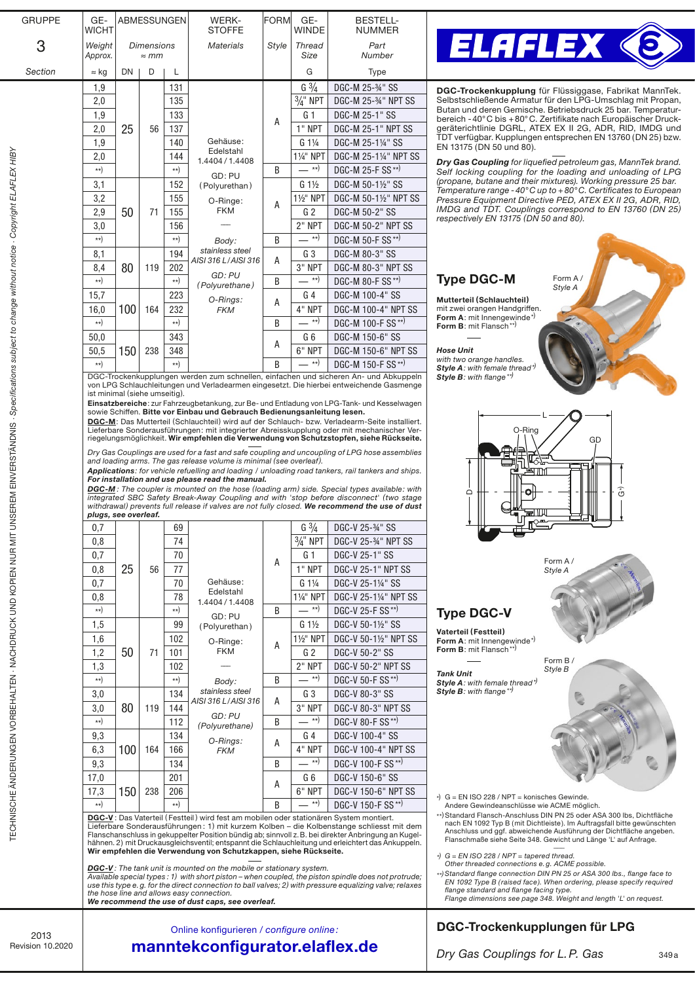| <b>GRUPPE</b>                                                                                     | GE-<br><b>WICHT</b>                                                                                                                                                                                                           |                   | ABMESSUNGEN       |                     | WERK-<br><b>STOFFE</b>                                                                                                                                                                                                                                                                                 | FORM                                     | GE-<br>WINDE                                                                                                                          | <b>BESTELL-</b><br><b>NUMMER</b>                                                                                                                                                             |                                                                                                                                                   |
|---------------------------------------------------------------------------------------------------|-------------------------------------------------------------------------------------------------------------------------------------------------------------------------------------------------------------------------------|-------------------|-------------------|---------------------|--------------------------------------------------------------------------------------------------------------------------------------------------------------------------------------------------------------------------------------------------------------------------------------------------------|------------------------------------------|---------------------------------------------------------------------------------------------------------------------------------------|----------------------------------------------------------------------------------------------------------------------------------------------------------------------------------------------|---------------------------------------------------------------------------------------------------------------------------------------------------|
| З                                                                                                 | Weight                                                                                                                                                                                                                        | <b>Dimensions</b> |                   |                     | <b>Materials</b>                                                                                                                                                                                                                                                                                       | Style                                    | <b>Thread</b>                                                                                                                         | Part                                                                                                                                                                                         | <b>ELAFLEX ©</b>                                                                                                                                  |
| Section                                                                                           | Approx.<br>$\approx$ kg                                                                                                                                                                                                       | DN                | $\approx$ mm<br>D | L                   |                                                                                                                                                                                                                                                                                                        |                                          | Size<br>G                                                                                                                             | Number<br><b>Type</b>                                                                                                                                                                        |                                                                                                                                                   |
|                                                                                                   | 1,9                                                                                                                                                                                                                           |                   |                   | 131                 |                                                                                                                                                                                                                                                                                                        |                                          | $G \frac{3}{4}$                                                                                                                       | DGC-M 25-34" SS                                                                                                                                                                              | DGC-Trockenkupplung für Flüssiggase, Fabrikat MannTek.                                                                                            |
|                                                                                                   | 2,0                                                                                                                                                                                                                           |                   |                   | 135                 |                                                                                                                                                                                                                                                                                                        |                                          | $\frac{3}{4}$ " NPT                                                                                                                   | DGC-M 25-34" NPT SS                                                                                                                                                                          | Selbstschließende Armatur für den LPG-Umschlag mit Propan,                                                                                        |
|                                                                                                   | 1,9                                                                                                                                                                                                                           |                   |                   | 133                 |                                                                                                                                                                                                                                                                                                        | A                                        | G <sub>1</sub>                                                                                                                        | DGC-M 25-1" SS                                                                                                                                                                               | Butan und deren Gemische. Betriebsdruck 25 bar. Temperatur-<br>bereich - 40°C bis + 80°C. Zertifikate nach Europäischer Druck-                    |
|                                                                                                   | 2,0                                                                                                                                                                                                                           | 25                | 56                | 137                 |                                                                                                                                                                                                                                                                                                        |                                          | 1" NPT                                                                                                                                | <b>DGC-M 25-1" NPT SS</b>                                                                                                                                                                    | geräterichtlinie DGRL, ATEX EX II 2G, ADR, RID, IMDG und<br>TDT verfügbar. Kupplungen entsprechen EN 13760 (DN 25) bzw.                           |
|                                                                                                   | 1,9                                                                                                                                                                                                                           |                   |                   | 140                 | Gehäuse:<br>Edelstahl                                                                                                                                                                                                                                                                                  |                                          | $G1\frac{1}{4}$                                                                                                                       | DGC-M 25-11/4" SS                                                                                                                                                                            | EN 13175 (DN 50 und 80).                                                                                                                          |
|                                                                                                   | 2,0<br>$^{**}$                                                                                                                                                                                                                |                   |                   | 144<br>$\star\star$ | 1.4404 / 1.4408                                                                                                                                                                                                                                                                                        | B                                        | 11/4" NPT<br>$-$ **)                                                                                                                  | DGC-M 25-11/4" NPT SS<br>DGC-M 25-F SS**)                                                                                                                                                    | Dry Gas Coupling for liquefied petroleum gas, MannTek brand.                                                                                      |
|                                                                                                   | 3,1                                                                                                                                                                                                                           |                   |                   | 152                 | GD: PU<br>(Polyurethan)                                                                                                                                                                                                                                                                                |                                          | $G_1\frac{1}{2}$                                                                                                                      | DGC-M 50-11/2" SS                                                                                                                                                                            | Self locking coupling for the loading and unloading of LPG<br>(propane, butane and their mixtures). Working pressure 25 bar.                      |
|                                                                                                   | 3,2                                                                                                                                                                                                                           |                   | 71                | 155                 | O-Ringe:<br><b>FKM</b>                                                                                                                                                                                                                                                                                 | A                                        | 11/ <sub>2"</sub> NPT                                                                                                                 | DGC-M 50-11/2" NPT SS                                                                                                                                                                        | Temperature range - $40^{\circ}$ C up to +80 $^{\circ}$ C. Certificates to European<br>Pressure Equipment Directive PED, ATEX EX II 2G, ADR, RID, |
|                                                                                                   | 2,9                                                                                                                                                                                                                           | 50                |                   | 155                 |                                                                                                                                                                                                                                                                                                        |                                          | G <sub>2</sub>                                                                                                                        | DGC-M 50-2" SS                                                                                                                                                                               | IMDG and TDT. Couplings correspond to EN 13760 (DN 25)<br>respectively EN 13175 (DN 50 and 80).                                                   |
| UNSEREM EINVERSTÄNDNIS · Specifications subject to change without notice · Copyright ELAFLEX HIBY | 3,0                                                                                                                                                                                                                           |                   |                   | 156                 |                                                                                                                                                                                                                                                                                                        |                                          | 2" NPT                                                                                                                                | DGC-M 50-2" NPT SS                                                                                                                                                                           |                                                                                                                                                   |
|                                                                                                   | $\star\star$                                                                                                                                                                                                                  |                   |                   | $\star\star$<br>194 | Body:<br>stainless steel                                                                                                                                                                                                                                                                               | B                                        | $-$ **)<br>G <sub>3</sub>                                                                                                             | DGC-M 50-F SS**)<br>DGC-M 80-3" SS                                                                                                                                                           |                                                                                                                                                   |
|                                                                                                   | 8,1<br>8,4                                                                                                                                                                                                                    | 80                | 119               | 202                 | AISI 316 L/AISI 316                                                                                                                                                                                                                                                                                    | A                                        | 3" NPT                                                                                                                                | DGC-M 80-3" NPT SS                                                                                                                                                                           |                                                                                                                                                   |
|                                                                                                   | $\star\star$                                                                                                                                                                                                                  |                   |                   | $\{**\}$            | GD: PU<br>(Polyurethane)                                                                                                                                                                                                                                                                               | B                                        | $-$ **)                                                                                                                               | DGC-M 80-F SS**)                                                                                                                                                                             | <b>Type DGC-M</b><br>Form A/                                                                                                                      |
|                                                                                                   | 15,7                                                                                                                                                                                                                          |                   |                   | 223                 | O-Rings:                                                                                                                                                                                                                                                                                               |                                          | G <sub>4</sub>                                                                                                                        | DGC-M 100-4" SS                                                                                                                                                                              | Style A<br>Mutterteil (Schlauchteil)                                                                                                              |
|                                                                                                   | 16,0                                                                                                                                                                                                                          | 100               | 164               | 232                 | <b>FKM</b>                                                                                                                                                                                                                                                                                             | A                                        | 4" NPT                                                                                                                                | <b>DGC-M 100-4" NPT SS</b>                                                                                                                                                                   | mit zwei orangen Handgriffen.<br><b>Form A:</b> mit Innengewinde*)                                                                                |
|                                                                                                   | $^{**}$                                                                                                                                                                                                                       |                   |                   | $\{**\}$            |                                                                                                                                                                                                                                                                                                        | B                                        | — **)                                                                                                                                 | DGC-M 100-F SS**)                                                                                                                                                                            | Form B: mit Flansch**)                                                                                                                            |
|                                                                                                   | 50,0<br>50,5                                                                                                                                                                                                                  |                   |                   | 343<br>348          |                                                                                                                                                                                                                                                                                                        | A                                        | G <sub>6</sub><br>6" NPT                                                                                                              | DGC-M 150-6" SS<br>DGC-M 150-6" NPT SS                                                                                                                                                       | <b>Hose Unit</b>                                                                                                                                  |
|                                                                                                   | $\star\star$                                                                                                                                                                                                                  | 150               | 238               | $\star\star$        |                                                                                                                                                                                                                                                                                                        | B                                        | — **)                                                                                                                                 | DGC-M 150-F SS**)                                                                                                                                                                            | with two orange handles.                                                                                                                          |
|                                                                                                   |                                                                                                                                                                                                                               |                   |                   |                     |                                                                                                                                                                                                                                                                                                        |                                          |                                                                                                                                       | DGC-Trockenkupplungen werden zum schnellen, einfachen und sicheren An- und Abkuppeln                                                                                                         | Style A: with female thread*<br><b>Style B:</b> with flange **                                                                                    |
|                                                                                                   | ist minimal (siehe umseitig).                                                                                                                                                                                                 |                   |                   |                     | von LPG Schlauchleitungen und Verladearmen eingesetzt. Die hierbei entweichende Gasmenge                                                                                                                                                                                                               |                                          |                                                                                                                                       |                                                                                                                                                                                              |                                                                                                                                                   |
|                                                                                                   |                                                                                                                                                                                                                               |                   |                   |                     | sowie Schiffen. Bitte vor Einbau und Gebrauch Bedienungsanleitung lesen.                                                                                                                                                                                                                               |                                          |                                                                                                                                       | Einsatzbereiche: zur Fahrzeugbetankung, zur Be- und Entladung von LPG-Tank- und Kesselwagen                                                                                                  |                                                                                                                                                   |
|                                                                                                   |                                                                                                                                                                                                                               |                   |                   |                     |                                                                                                                                                                                                                                                                                                        |                                          |                                                                                                                                       | DGC-M: Das Mutterteil (Schlauchteil) wird auf der Schlauch- bzw. Verladearm-Seite installiert.<br>Lieferbare Sonderausführungen: mit integrierter Abreisskupplung oder mit mechanischer Ver- | O-Ring                                                                                                                                            |
|                                                                                                   |                                                                                                                                                                                                                               |                   |                   |                     |                                                                                                                                                                                                                                                                                                        |                                          |                                                                                                                                       | riegelungsmöglichkeit. Wir empfehlen die Verwendung von Schutzstopfen, siehe Rückseite.                                                                                                      | GD                                                                                                                                                |
|                                                                                                   |                                                                                                                                                                                                                               |                   |                   |                     |                                                                                                                                                                                                                                                                                                        |                                          |                                                                                                                                       | Dry Gas Couplings are used for a fast and safe coupling and uncoupling of LPG hose assemblies                                                                                                |                                                                                                                                                   |
|                                                                                                   | and loading arms. The gas release volume is minimal (see overleaf).<br>Applications: for vehicle refuelling and loading / unloading road tankers, rail tankers and ships.<br>For installation and use please read the manual. |                   |                   |                     |                                                                                                                                                                                                                                                                                                        |                                          |                                                                                                                                       |                                                                                                                                                                                              |                                                                                                                                                   |
|                                                                                                   |                                                                                                                                                                                                                               |                   |                   |                     |                                                                                                                                                                                                                                                                                                        |                                          |                                                                                                                                       | <b>DGC-M</b> : The coupler is mounted on the hose (loading arm) side. Special types available: with                                                                                          | $\widehat{\mathfrak{c}}$<br>≏                                                                                                                     |
|                                                                                                   |                                                                                                                                                                                                                               |                   |                   |                     |                                                                                                                                                                                                                                                                                                        |                                          |                                                                                                                                       | integrated SBC Safety Break-Away Coupling and with 'stop before disconnect' (two stage<br>withdrawal) prevents full release if valves are not fully closed. We recommend the use of dust     |                                                                                                                                                   |
|                                                                                                   | plugs, see overleaf.<br>0,7                                                                                                                                                                                                   |                   |                   | 69                  |                                                                                                                                                                                                                                                                                                        |                                          | $G \frac{3}{4}$                                                                                                                       | DGC-V 25-34" SS                                                                                                                                                                              |                                                                                                                                                   |
|                                                                                                   | 0,8                                                                                                                                                                                                                           |                   |                   | 74                  | A<br>Gehäuse:<br>Edelstahl                                                                                                                                                                                                                                                                             |                                          | $\frac{3}{4}$ " NPT                                                                                                                   | DGC-V 25-34" NPT SS                                                                                                                                                                          |                                                                                                                                                   |
|                                                                                                   | 0,7                                                                                                                                                                                                                           |                   |                   | 70                  |                                                                                                                                                                                                                                                                                                        |                                          | G 1                                                                                                                                   | DGC-V 25-1" SS                                                                                                                                                                               | Form A/                                                                                                                                           |
|                                                                                                   | 0,8                                                                                                                                                                                                                           | 25                | 56                | 77                  |                                                                                                                                                                                                                                                                                                        |                                          | 1" NPT                                                                                                                                | DGC-V 25-1" NPT SS                                                                                                                                                                           | Style A                                                                                                                                           |
|                                                                                                   | 0,7                                                                                                                                                                                                                           |                   |                   | 70                  |                                                                                                                                                                                                                                                                                                        | $G1\frac{1}{4}$<br>11/ <sub>4"</sub> NPT | DGC-V 25-11/4" SS                                                                                                                     |                                                                                                                                                                                              |                                                                                                                                                   |
|                                                                                                   | 0,8<br>$^{**}$                                                                                                                                                                                                                |                   |                   | 78<br>$^{**}$       | 1.4404 / 1.4408                                                                                                                                                                                                                                                                                        | B                                        | — **)                                                                                                                                 | DGC-V 25-11/4" NPT SS<br>DGC-V 25-F SS**)                                                                                                                                                    |                                                                                                                                                   |
|                                                                                                   | 1,5                                                                                                                                                                                                                           |                   |                   | 99                  | GD: PU<br>(Polyurethan)<br>O-Ringe:                                                                                                                                                                                                                                                                    | $G_1\frac{1}{2}$                         | DGC-V 50-1½" SS                                                                                                                       | <b>Type DGC-V</b>                                                                                                                                                                            |                                                                                                                                                   |
|                                                                                                   | 1,6                                                                                                                                                                                                                           |                   |                   | 102                 |                                                                                                                                                                                                                                                                                                        |                                          | 11/ <sub>2</sub> " NPT                                                                                                                | DGC-V 50-11/2" NPT SS                                                                                                                                                                        | <b>Vaterteil (Festteil)</b><br>Form A: mit Innengewinde*)                                                                                         |
|                                                                                                   | 1,2                                                                                                                                                                                                                           | 50                | 71                | 101                 | <b>FKM</b>                                                                                                                                                                                                                                                                                             | A                                        | G <sub>2</sub>                                                                                                                        | DGC-V 50-2" SS                                                                                                                                                                               | Form B: mit Flansch**)<br>Form B/                                                                                                                 |
|                                                                                                   | 1,3                                                                                                                                                                                                                           |                   |                   | 102                 |                                                                                                                                                                                                                                                                                                        |                                          | <b>2" NPT</b>                                                                                                                         | DGC-V 50-2" NPT SS                                                                                                                                                                           | Style B<br><b>Tank Unit</b>                                                                                                                       |
|                                                                                                   | $^{**}$                                                                                                                                                                                                                       |                   |                   | $\ast\ast)$<br>134  | B<br>Body:<br>stainless steel                                                                                                                                                                                                                                                                          |                                          | — **)<br>G <sub>3</sub>                                                                                                               | DGC-V 50-F SS**)<br>DGC-V 80-3" SS                                                                                                                                                           | <b>Style A:</b> with female thread $\overrightarrow{y}$<br><b>Style B:</b> with flange **                                                         |
|                                                                                                   | 3,0<br>3,0                                                                                                                                                                                                                    | 80                | 119               | 144                 | AISI 316 L/AISI 316                                                                                                                                                                                                                                                                                    | A                                        | 3" NPT                                                                                                                                | DGC-V 80-3" NPT SS                                                                                                                                                                           |                                                                                                                                                   |
|                                                                                                   | $^{**}$                                                                                                                                                                                                                       |                   |                   | 112                 | GD: PU<br>(Polyurethane)                                                                                                                                                                                                                                                                               | B                                        | — **)                                                                                                                                 | DGC-V 80-F SS**)                                                                                                                                                                             |                                                                                                                                                   |
|                                                                                                   | 9,3                                                                                                                                                                                                                           |                   |                   | 134                 | O-Rings:                                                                                                                                                                                                                                                                                               | A                                        | G <sub>4</sub>                                                                                                                        | DGC-V 100-4" SS                                                                                                                                                                              |                                                                                                                                                   |
|                                                                                                   | 6,3                                                                                                                                                                                                                           | 100               | 164               | 166                 | FKM                                                                                                                                                                                                                                                                                                    |                                          | 4" NPT                                                                                                                                | DGC-V 100-4" NPT SS                                                                                                                                                                          |                                                                                                                                                   |
|                                                                                                   | 9,3                                                                                                                                                                                                                           |                   |                   | 134                 |                                                                                                                                                                                                                                                                                                        | B                                        | — **)                                                                                                                                 | DGC-V 100-F SS**)                                                                                                                                                                            |                                                                                                                                                   |
|                                                                                                   | 17,0<br>17,3                                                                                                                                                                                                                  |                   | 238               | 201<br>206          |                                                                                                                                                                                                                                                                                                        | A                                        | G <sub>6</sub><br>6" NPT                                                                                                              | DGC-V 150-6" SS<br>DGC-V 150-6" NPT SS                                                                                                                                                       |                                                                                                                                                   |
|                                                                                                   | $^{**}$                                                                                                                                                                                                                       | 150               |                   | $\star\star$        |                                                                                                                                                                                                                                                                                                        | B                                        | — **)                                                                                                                                 | DGC-V 150-F SS**)                                                                                                                                                                            | *) G = EN ISO 228 / NPT = konisches Gewinde.<br>Andere Gewindeanschlüsse wie ACME möglich.                                                        |
|                                                                                                   |                                                                                                                                                                                                                               |                   |                   |                     | DGC-V: Das Vaterteil (Festteil) wird fest am mobilen oder stationären System montiert.                                                                                                                                                                                                                 |                                          |                                                                                                                                       |                                                                                                                                                                                              | **) Standard Flansch-Anschluss DIN PN 25 oder ASA 300 lbs, Dichtfläche<br>nach EN 1092 Typ B (mit Dichtleiste). Im Auftragsfall bitte gewünschten |
| TECHNISCHE ÄNDERUNGEN VORBEHALTEN - NACHDRUCK UND KOPIEN NUR MIT                                  |                                                                                                                                                                                                                               |                   |                   |                     | Lieferbare Sonderausführungen: 1) mit kurzem Kolben – die Kolbenstange schliesst mit dem<br>Flanschanschluss in gekuppelter Position bündig ab; sinnvoll z. B. bei direkter Anbringung an Kugel-<br>hähnen. 2) mit Druckausgleichsventil; entspannt die Schlauchleitung und erleichtert das Ankuppeln. |                                          | Anschluss und ggf. abweichende Ausführung der Dichtfläche angeben.<br>Flanschmaße siehe Seite 348. Gewicht und Länge 'L' auf Anfrage. |                                                                                                                                                                                              |                                                                                                                                                   |
|                                                                                                   |                                                                                                                                                                                                                               |                   |                   |                     | Wir empfehlen die Verwendung von Schutzkappen, siehe Rückseite.                                                                                                                                                                                                                                        |                                          | $\star$ ) G = EN ISO 228 / NPT = tapered thread.                                                                                      |                                                                                                                                                                                              |                                                                                                                                                   |
|                                                                                                   |                                                                                                                                                                                                                               |                   |                   |                     | <b>DGC-V</b> : The tank unit is mounted on the mobile or stationary system.<br>Available special types : 1) with short piston – when coupled, the piston spindle does not protrude;                                                                                                                    |                                          | Other threaded connections e.g. ACME possible.<br>**) Standard flange connection DIN PN 25 or ASA 300 lbs., flange face to            |                                                                                                                                                                                              |                                                                                                                                                   |
|                                                                                                   |                                                                                                                                                                                                                               |                   |                   |                     | the hose line and allows easy connection.                                                                                                                                                                                                                                                              |                                          |                                                                                                                                       | use this type e.g. for the direct connection to ball valves; 2) with pressure equalizing valve; relaxes                                                                                      | EN 1092 Type B (raised face). When ordering, please specify required<br>flange standard and flange facing type.                                   |
|                                                                                                   |                                                                                                                                                                                                                               |                   |                   |                     | We recommend the use of dust caps, see overleaf.                                                                                                                                                                                                                                                       |                                          | Flange dimensions see page 348. Weight and length 'L' on request.                                                                     |                                                                                                                                                                                              |                                                                                                                                                   |
|                                                                                                   |                                                                                                                                                                                                                               |                   |                   |                     | Online konfigurieren / configure online:                                                                                                                                                                                                                                                               |                                          | DGC-Trockenkupplungen für LPG                                                                                                         |                                                                                                                                                                                              |                                                                                                                                                   |
| 2013<br>Revision 10.2020                                                                          |                                                                                                                                                                                                                               |                   |                   |                     | manntekconfigurator.elaflex.de                                                                                                                                                                                                                                                                         |                                          |                                                                                                                                       |                                                                                                                                                                                              |                                                                                                                                                   |
|                                                                                                   |                                                                                                                                                                                                                               |                   |                   |                     |                                                                                                                                                                                                                                                                                                        |                                          |                                                                                                                                       |                                                                                                                                                                                              | Dry Gas Couplings for L.P. Gas<br>349a                                                                                                            |